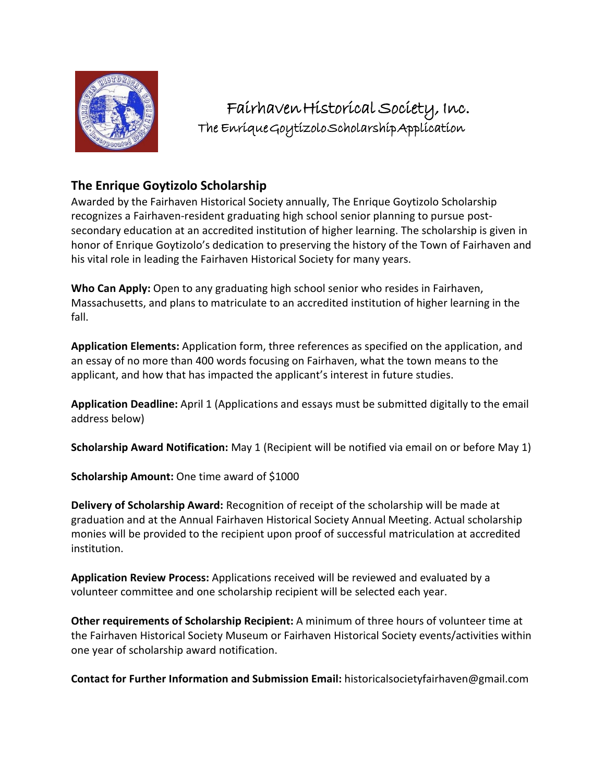

Fairhaven Historical Society, Inc. The Enrique Goytizolo Scholarship Application

# **The Enrique Goytizolo Scholarship**

Awarded by the Fairhaven Historical Society annually, The Enrique Goytizolo Scholarship recognizes a Fairhaven-resident graduating high school senior planning to pursue postsecondary education at an accredited institution of higher learning. The scholarship is given in honor of Enrique Goytizolo's dedication to preserving the history of the Town of Fairhaven and his vital role in leading the Fairhaven Historical Society for many years.

**Who Can Apply:** Open to any graduating high school senior who resides in Fairhaven, Massachusetts, and plans to matriculate to an accredited institution of higher learning in the fall.

**Application Elements:** Application form, three references as specified on the application, and an essay of no more than 400 words focusing on Fairhaven, what the town means to the applicant, and how that has impacted the applicant's interest in future studies.

**Application Deadline:** April 1 (Applications and essays must be submitted digitally to the email address below)

**Scholarship Award Notification:** May 1 (Recipient will be notified via email on or before May 1)

**Scholarship Amount:** One time award of \$1000

**Delivery of Scholarship Award:** Recognition of receipt of the scholarship will be made at graduation and at the Annual Fairhaven Historical Society Annual Meeting. Actual scholarship monies will be provided to the recipient upon proof of successful matriculation at accredited institution.

**Application Review Process:** Applications received will be reviewed and evaluated by a volunteer committee and one scholarship recipient will be selected each year.

**Other requirements of Scholarship Recipient:** A minimum of three hours of volunteer time at the Fairhaven Historical Society Museum or Fairhaven Historical Society events/activities within one year of scholarship award notification.

**Contact for Further Information and Submission Email:** historicalsocietyfairhaven@gmail.com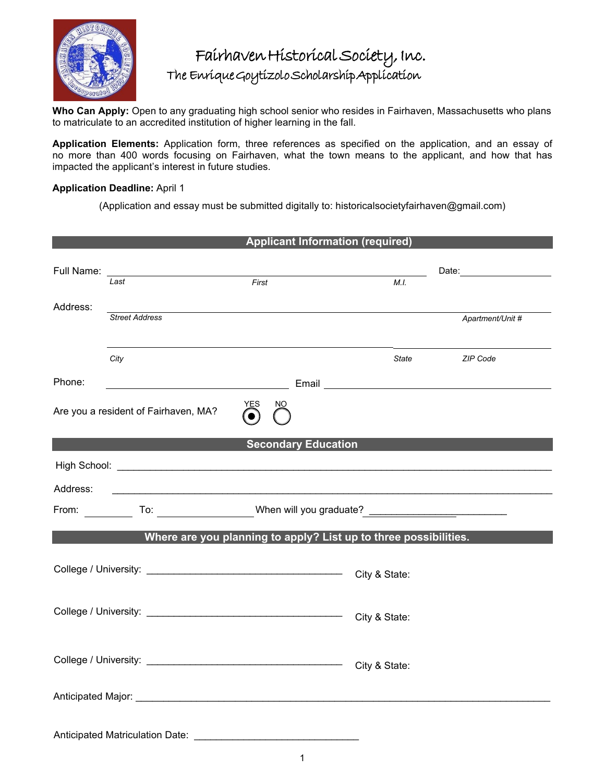

# Fairhaven Historical Society, Inc. The Enrique Goytizolo Scholarship Application

**Who Can Apply:** Open to any graduating high school senior who resides in Fairhaven, Massachusetts who plans to matriculate to an accredited institution of higher learning in the fall.

**Application Elements:** Application form, three references as specified on the application, and an essay of no more than 400 words focusing on Fairhaven, what the town means to the applicant, and how that has impacted the applicant's interest in future studies.

### **Application Deadline:** April 1

(Application and essay must be submitted digitally to: historicalsocietyfairhaven@gmail.com)

|              |                                      | <b>Applicant Information (required)</b>                                                                              |               |                               |
|--------------|--------------------------------------|----------------------------------------------------------------------------------------------------------------------|---------------|-------------------------------|
| Full Name: _ | Last                                 | First                                                                                                                | M.I.          | Date: _______________________ |
| Address:     |                                      |                                                                                                                      |               |                               |
|              | <b>Street Address</b>                |                                                                                                                      |               | Apartment/Unit #              |
|              | City                                 |                                                                                                                      | State         | ZIP Code                      |
| Phone:       |                                      |                                                                                                                      |               |                               |
|              | Are you a resident of Fairhaven, MA? | YES<br>NO.                                                                                                           |               |                               |
|              |                                      | <b>Secondary Education</b>                                                                                           |               |                               |
|              |                                      |                                                                                                                      |               |                               |
| Address:     |                                      | <u> 1989 - Johann John Stein, markin fan it ferskearre fan it ferskearre fan it ferskearre fan it ferskearre fan</u> |               |                               |
|              |                                      |                                                                                                                      |               |                               |
|              |                                      | Where are you planning to apply? List up to three possibilities.                                                     |               |                               |
|              |                                      |                                                                                                                      | City & State: |                               |
|              |                                      |                                                                                                                      |               |                               |
|              |                                      |                                                                                                                      |               |                               |
|              |                                      |                                                                                                                      |               |                               |
|              |                                      |                                                                                                                      |               |                               |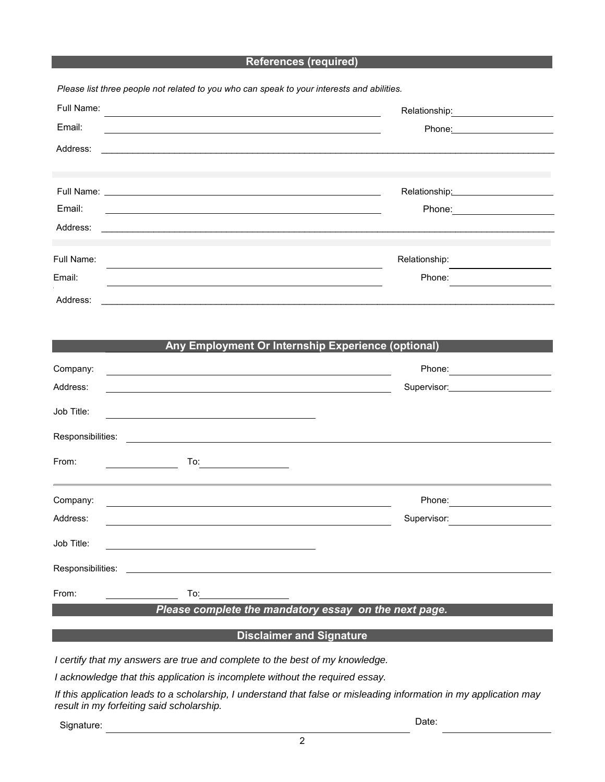#### **References (required)**

| Full Name:<br>and the control of the control of the control of the control of the control of the control of the control of the |                                                                                                                                                                                                                                |  |
|--------------------------------------------------------------------------------------------------------------------------------|--------------------------------------------------------------------------------------------------------------------------------------------------------------------------------------------------------------------------------|--|
| Email:                                                                                                                         | Phone: the contract of the contract of the contract of the contract of the contract of the contract of the contract of the contract of the contract of the contract of the contract of the contract of the contract of the con |  |
| Address:                                                                                                                       |                                                                                                                                                                                                                                |  |
|                                                                                                                                |                                                                                                                                                                                                                                |  |
|                                                                                                                                | Relationship: 2000                                                                                                                                                                                                             |  |
| Email:                                                                                                                         | Phone: <u>________</u>                                                                                                                                                                                                         |  |
| Address:                                                                                                                       |                                                                                                                                                                                                                                |  |
| Full Name:                                                                                                                     | Relationship:                                                                                                                                                                                                                  |  |
| Email:                                                                                                                         | Phone:                                                                                                                                                                                                                         |  |
| Address:                                                                                                                       |                                                                                                                                                                                                                                |  |

#### **Any Employment Or Internship Experience (optional)**

| Company:          | <u> 1989 - John Stein, Amerikaansk politiker (* 1958)</u> | Phone:                  |
|-------------------|-----------------------------------------------------------|-------------------------|
| Address:          |                                                           | Supervisor: Supervisor: |
| Job Title:        |                                                           |                         |
| Responsibilities: |                                                           |                         |
| From:             | To:                                                       |                         |
| Company:          |                                                           | Phone:                  |
| Address:          |                                                           | Supervisor:             |
| Job Title:        |                                                           |                         |
|                   |                                                           |                         |
| From:             | To: $\qquad \qquad$                                       |                         |
|                   | Please complete the mandatory essay on the next page.     |                         |

## **Disclaimer and Signature**

*I certify that my answers are true and complete to the best of my knowledge.* 

*I acknowledge that this application is incomplete without the required essay.*

*If this application leads to a scholarship, I understand that false or misleading information in my application may result in my forfeiting said scholarship.* 

Signature: Date: